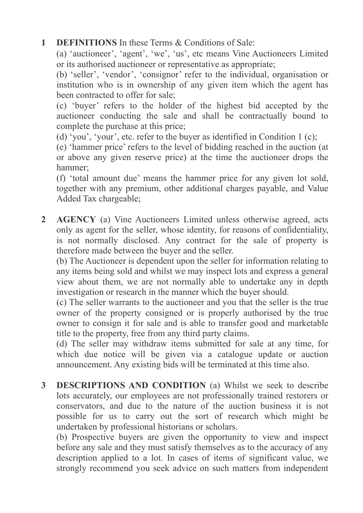## **1 DEFINITIONS** In these Terms & Conditions of Sale:

(a) 'auctioneer', 'agent', 'we', 'us', etc means Vine Auctioneers Limited or its authorised auctioneer or representative as appropriate;

(b) 'seller', 'vendor', 'consignor' refer to the individual, organisation or institution who is in ownership of any given item which the agent has been contracted to offer for sale;

(c) 'buyer' refers to the holder of the highest bid accepted by the auctioneer conducting the sale and shall be contractually bound to complete the purchase at this price;

(d) 'you', 'your', etc. refer to the buyer as identified in Condition 1 (c);

(e) 'hammer price' refers to the level of bidding reached in the auction (at or above any given reserve price) at the time the auctioneer drops the hammer;

(f) 'total amount due' means the hammer price for any given lot sold, together with any premium, other additional charges payable, and Value Added Tax chargeable;

 **2 AGENCY** (a) Vine Auctioneers Limited unless otherwise agreed, acts only as agent for the seller, whose identity, for reasons of confidentiality, is not normally disclosed. Any contract for the sale of property is therefore made between the buyer and the seller.

(b) The Auctioneer is dependent upon the seller for information relating to any items being sold and whilst we may inspect lots and express a general view about them, we are not normally able to undertake any in depth investigation or research in the manner which the buyer should.

(c) The seller warrants to the auctioneer and you that the seller is the true owner of the property consigned or is properly authorised by the true owner to consign it for sale and is able to transfer good and marketable title to the property, free from any third party claims.

(d) The seller may withdraw items submitted for sale at any time, for which due notice will be given via a catalogue update or auction announcement. Any existing bids will be terminated at this time also.

 **3 DESCRIPTIONS AND CONDITION** (a) Whilst we seek to describe lots accurately, our employees are not professionally trained restorers or conservators, and due to the nature of the auction business it is not possible for us to carry out the sort of research which might be undertaken by professional historians or scholars.

(b) Prospective buyers are given the opportunity to view and inspect before any sale and they must satisfy themselves as to the accuracy of any description applied to a lot. In cases of items of significant value, we strongly recommend you seek advice on such matters from independent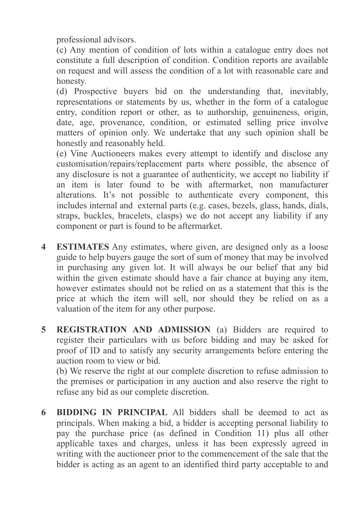professional advisors.

(c) Any mention of condition of lots within a catalogue entry does not constitute a full description of condition. Condition reports are available on request and will assess the condition of a lot with reasonable care and honesty.

(d) Prospective buyers bid on the understanding that, inevitably, representations or statements by us, whether in the form of a catalogue entry, condition report or other, as to authorship, genuineness, origin, date, age, provenance, condition, or estimated selling price involve matters of opinion only. We undertake that any such opinion shall be honestly and reasonably held.

(e) Vine Auctioneers makes every attempt to identify and disclose any customisation/repairs/replacement parts where possible, the absence of any disclosure is not a guarantee of authenticity, we accept no liability if an item is later found to be with aftermarket, non manufacturer alterations. It's not possible to authenticate every component, this includes internal and external parts (e.g. cases, bezels, glass, hands, dials, straps, buckles, bracelets, clasps) we do not accept any liability if any component or part is found to be aftermarket.

- **4 ESTIMATES** Any estimates, where given, are designed only as a loose guide to help buyers gauge the sort of sum of money that may be involved in purchasing any given lot. It will always be our belief that any bid within the given estimate should have a fair chance at buying any item, however estimates should not be relied on as a statement that this is the price at which the item will sell, nor should they be relied on as a valuation of the item for any other purpose.
- **5 REGISTRATION AND ADMISSION** (a) Bidders are required to register their particulars with us before bidding and may be asked for proof of ID and to satisfy any security arrangements before entering the auction room to view or bid.

(b) We reserve the right at our complete discretion to refuse admission to the premises or participation in any auction and also reserve the right to refuse any bid as our complete discretion.

 **6 BIDDING IN PRINCIPAL** All bidders shall be deemed to act as principals. When making a bid, a bidder is accepting personal liability to pay the purchase price (as defined in Condition 11) plus all other applicable taxes and charges, unless it has been expressly agreed in writing with the auctioneer prior to the commencement of the sale that the bidder is acting as an agent to an identified third party acceptable to and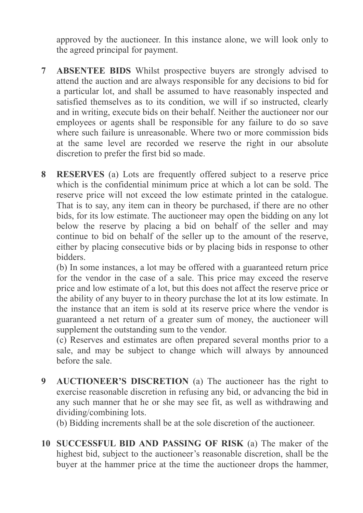approved by the auctioneer. In this instance alone, we will look only to the agreed principal for payment.

- **7 ABSENTEE BIDS** Whilst prospective buyers are strongly advised to attend the auction and are always responsible for any decisions to bid for a particular lot, and shall be assumed to have reasonably inspected and satisfied themselves as to its condition, we will if so instructed, clearly and in writing, execute bids on their behalf. Neither the auctioneer nor our employees or agents shall be responsible for any failure to do so save where such failure is unreasonable. Where two or more commission bids at the same level are recorded we reserve the right in our absolute discretion to prefer the first bid so made.
- **8 RESERVES** (a) Lots are frequently offered subject to a reserve price which is the confidential minimum price at which a lot can be sold. The reserve price will not exceed the low estimate printed in the catalogue. That is to say, any item can in theory be purchased, if there are no other bids, for its low estimate. The auctioneer may open the bidding on any lot below the reserve by placing a bid on behalf of the seller and may continue to bid on behalf of the seller up to the amount of the reserve, either by placing consecutive bids or by placing bids in response to other bidders.

(b) In some instances, a lot may be offered with a guaranteed return price for the vendor in the case of a sale. This price may exceed the reserve price and low estimate of a lot, but this does not affect the reserve price or the ability of any buyer to in theory purchase the lot at its low estimate. In the instance that an item is sold at its reserve price where the vendor is guaranteed a net return of a greater sum of money, the auctioneer will supplement the outstanding sum to the vendor.

(c) Reserves and estimates are often prepared several months prior to a sale, and may be subject to change which will always by announced before the sale.

 **9 AUCTIONEER'S DISCRETION** (a) The auctioneer has the right to exercise reasonable discretion in refusing any bid, or advancing the bid in any such manner that he or she may see fit, as well as withdrawing and dividing/combining lots.

(b) Bidding increments shall be at the sole discretion of the auctioneer.

 **10 SUCCESSFUL BID AND PASSING OF RISK** (a) The maker of the highest bid, subject to the auctioneer's reasonable discretion, shall be the buyer at the hammer price at the time the auctioneer drops the hammer,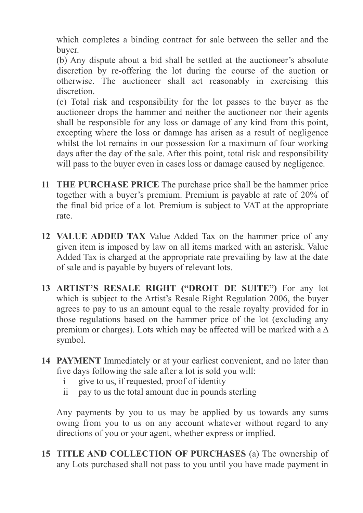which completes a binding contract for sale between the seller and the buyer.

(b) Any dispute about a bid shall be settled at the auctioneer's absolute discretion by re-offering the lot during the course of the auction or otherwise. The auctioneer shall act reasonably in exercising this discretion.

(c) Total risk and responsibility for the lot passes to the buyer as the auctioneer drops the hammer and neither the auctioneer nor their agents shall be responsible for any loss or damage of any kind from this point, excepting where the loss or damage has arisen as a result of negligence whilst the lot remains in our possession for a maximum of four working days after the day of the sale. After this point, total risk and responsibility will pass to the buyer even in cases loss or damage caused by negligence.

- **11 THE PURCHASE PRICE** The purchase price shall be the hammer price together with a buyer's premium. Premium is payable at rate of 20% of the final bid price of a lot. Premium is subject to VAT at the appropriate rate.
- **12 VALUE ADDED TAX** Value Added Tax on the hammer price of any given item is imposed by law on all items marked with an asterisk. Value Added Tax is charged at the appropriate rate prevailing by law at the date of sale and is payable by buyers of relevant lots.
- **13 ARTIST'S RESALE RIGHT ("DROIT DE SUITE")** For any lot which is subject to the Artist's Resale Right Regulation 2006, the buyer agrees to pay to us an amount equal to the resale royalty provided for in those regulations based on the hammer price of the lot (excluding any premium or charges). Lots which may be affected will be marked with a  $\Delta$ symbol.
- **14 PAYMENT** Immediately or at your earliest convenient, and no later than five days following the sale after a lot is sold you will:
	- i give to us, if requested, proof of identity
	- ii pay to us the total amount due in pounds sterling

 Any payments by you to us may be applied by us towards any sums owing from you to us on any account whatever without regard to any directions of you or your agent, whether express or implied.

 **15 TITLE AND COLLECTION OF PURCHASES** (a) The ownership of any Lots purchased shall not pass to you until you have made payment in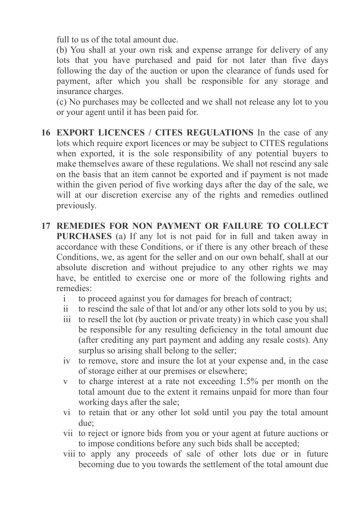full to us of the total amount due.

(b) You shall at your own risk and expense arrange for delivery of any lots that you have purchased and paid for not later than five days following the day of the auction or upon the clearance of funds used for payment, after which you shall be responsible for any storage and insurance charges.

(c) No purchases may be collected and we shall not release any lot to you or your agent until it has been paid for.

- **16 EXPORT LICENCES / CITES REGULATIONS** In the case of any lots which require export licences or may be subject to CITES regulations when exported, it is the sole responsibility of any potential buyers to make themselves aware of these regulations. We shall not rescind any sale on the basis that an item cannot be exported and if payment is not made within the given period of five working days after the day of the sale, we will at our discretion exercise any of the rights and remedies outlined previously.
- **17 REMEDIES FOR NON PAYMENT OR FAILURE TO COLLECT PURCHASES** (a) If any lot is not paid for in full and taken away in accordance with these Conditions, or if there is any other breach of these Conditions, we, as agent for the seller and on our own behalf, shall at our absolute discretion and without prejudice to any other rights we may have, be entitled to exercise one or more of the following rights and remedies:
	- i to proceed against you for damages for breach of contract;
	- ii to rescind the sale of that lot and/or any other lots sold to you by us;
	- iii to resell the lot (by auction or private treaty) in which case you shall be responsible for any resulting deficiency in the total amount due (after crediting any part payment and adding any resale costs). Any surplus so arising shall belong to the seller;
	- iv to remove, store and insure the lot at your expense and, in the case of storage either at our premises or elsewhere;
	- v to charge interest at a rate not exceeding 1.5% per month on the total amount due to the extent it remains unpaid for more than four working days after the sale;
	- vi to retain that or any other lot sold until you pay the total amount due;
	- vii to reject or ignore bids from you or your agent at future auctions or to impose conditions before any such bids shall be accepted;
	- viii to apply any proceeds of sale of other lots due or in future becoming due to you towards the settlement of the total amount due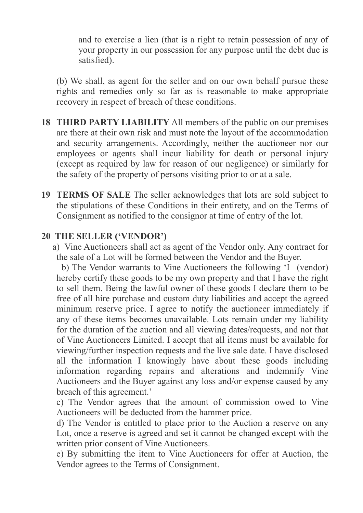and to exercise a lien (that is a right to retain possession of any of your property in our possession for any purpose until the debt due is satisfied).

 (b) We shall, as agent for the seller and on our own behalf pursue these rights and remedies only so far as is reasonable to make appropriate recovery in respect of breach of these conditions.

- **18 THIRD PARTY LIABILITY** All members of the public on our premises are there at their own risk and must note the layout of the accommodation and security arrangements. Accordingly, neither the auctioneer nor our employees or agents shall incur liability for death or personal injury (except as required by law for reason of our negligence) or similarly for the safety of the property of persons visiting prior to or at a sale.
- **19 TERMS OF SALE** The seller acknowledges that lots are sold subject to the stipulations of these Conditions in their entirety, and on the Terms of Consignment as notified to the consignor at time of entry of the lot.

## **20 THE SELLER ('VENDOR')**

 a) Vine Auctioneers shall act as agent of the Vendor only. Any contract for the sale of a Lot will be formed between the Vendor and the Buyer.

 b) The Vendor warrants to Vine Auctioneers the following 'I (vendor) hereby certify these goods to be my own property and that I have the right to sell them. Being the lawful owner of these goods I declare them to be free of all hire purchase and custom duty liabilities and accept the agreed minimum reserve price. I agree to notify the auctioneer immediately if any of these items becomes unavailable. Lots remain under my liability for the duration of the auction and all viewing dates/requests, and not that of Vine Auctioneers Limited. I accept that all items must be available for viewing/further inspection requests and the live sale date. I have disclosed all the information I knowingly have about these goods including information regarding repairs and alterations and indemnify Vine Auctioneers and the Buyer against any loss and/or expense caused by any breach of this agreement.'

c) The Vendor agrees that the amount of commission owed to Vine Auctioneers will be deducted from the hammer price.

d) The Vendor is entitled to place prior to the Auction a reserve on any Lot, once a reserve is agreed and set it cannot be changed except with the written prior consent of Vine Auctioneers.

e) By submitting the item to Vine Auctioneers for offer at Auction, the Vendor agrees to the Terms of Consignment.